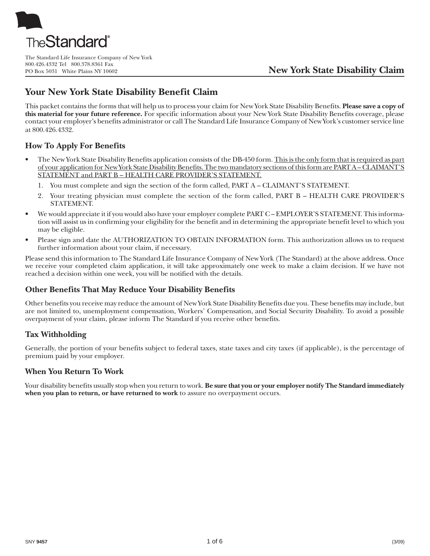

The Standard Life Insurance Company of New York 800.426.4332 Tel 800.378.8361 Fax

# **Your New York State Disability Benefit Claim**

This packet contains the forms that will help us to process your claim for New York State Disability Benefits. **Please save a copy of this material for your future reference.** For specific information about your New York State Disability Benefits coverage, please contact your employer's benefits administrator or call The Standard Life Insurance Company of New York's customer service line at 800.426.4332.

## **How To Apply For Benefits**

- The New York State Disability Benefits application consists of the DB-450 form. This is the only form that is required as part of your application for New York State Disability Benefits. The two mandatory sections of this form are PART A – CLAIMANT'S STATEMENT and PART B – HEALTH CARE PROVIDER'S STATEMENT.
	- 1. You must complete and sign the section of the form called, PART A CLAIMANT'S STATEMENT.
	- 2. Your treating physician must complete the section of the form called, PART B HEALTH CARE PROVIDER'S STATEMENT.
- We would appreciate it if you would also have your employer complete PART C EMPLOYER'S STATEMENT. This information will assist us in confirming your eligibility for the benefit and in determining the appropriate benefit level to which you may be eligible.
- Please sign and date the AUTHORIZATION TO OBTAIN INFORMATION form. This authorization allows us to request further information about your claim, if necessary.

Please send this information to The Standard Life Insurance Company of New York (The Standard) at the above address. Once we receive your completed claim application, it will take approximately one week to make a claim decision. If we have not reached a decision within one week, you will be notified with the details.

## **Other Benefits That May Reduce Your Disability Benefits**

Other benefits you receive may reduce the amount of New York State Disability Benefits due you. These benefits may include, but are not limited to, unemployment compensation, Workers' Compensation, and Social Security Disability. To avoid a possible overpayment of your claim, please inform The Standard if you receive other benefits.

## **Tax Withholding**

Generally, the portion of your benefits subject to federal taxes, state taxes and city taxes (if applicable), is the percentage of premium paid by your employer.

### **When You Return To Work**

Your disability benefits usually stop when you return to work. **Be sure that you or your employer notify The Standard immediately when you plan to return, or have returned to work** to assure no overpayment occurs.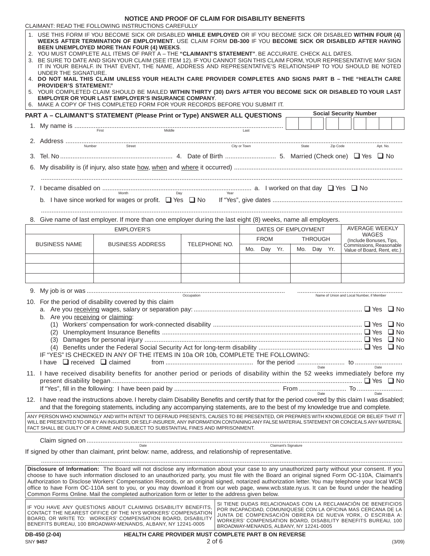|                                                                                                                                                                                                                                                                                                                                                                                                                                                                                                                                                                                                                                                                                                                                                                                                                                                                                                                                                                                   |                                                                                                                               | NOTICE AND PROOF OF CLAIM FOR DISABILITY BENEFITS                                                                                                                                                                                                                                |               |                                         |                               |                                                                                                                                                                                                                                                           |  |  |
|-----------------------------------------------------------------------------------------------------------------------------------------------------------------------------------------------------------------------------------------------------------------------------------------------------------------------------------------------------------------------------------------------------------------------------------------------------------------------------------------------------------------------------------------------------------------------------------------------------------------------------------------------------------------------------------------------------------------------------------------------------------------------------------------------------------------------------------------------------------------------------------------------------------------------------------------------------------------------------------|-------------------------------------------------------------------------------------------------------------------------------|----------------------------------------------------------------------------------------------------------------------------------------------------------------------------------------------------------------------------------------------------------------------------------|---------------|-----------------------------------------|-------------------------------|-----------------------------------------------------------------------------------------------------------------------------------------------------------------------------------------------------------------------------------------------------------|--|--|
| CLAIMANT: READ THE FOLLOWING INSTRUCTIONS CAREFULLY<br>1. USE THIS FORM IF YOU BECOME SICK OR DISABLED WHILE EMPLOYED OR IF YOU BECOME SICK OR DISABLED WITHIN FOUR (4)<br>WEEKS AFTER TERMINATION OF EMPLOYMENT. USE CLAIM FORM DB-300 IF YOU BECOME SICK OR DISABLED AFTER HAVING<br><b>BEEN UNEMPLOYED MORE THAN FOUR (4) WEEKS.</b><br>2. YOU MUST COMPLETE ALL ITEMS OF PART A - THE "CLAIMANT'S STATEMENT". BE ACCURATE. CHECK ALL DATES.<br>3. BE SURE TO DATE AND SIGN YOUR CLAIM (SEE ITEM 12). IF YOU CANNOT SIGN THIS CLAIM FORM, YOUR REPRESENTATIVE MAY SIGN<br>IT IN YOUR BEHALF. IN THAT EVENT, THE NAME, ADDRESS AND REPRESENTATIVE'S RELATIONSHIP TO YOU SHOULD BE NOTED<br>UNDER THE SIGNATURE.<br>4. DO NOT MAIL THIS CLAIM UNLESS YOUR HEALTH CARE PROVIDER COMPLETES AND SIGNS PART B - THE "HEALTH CARE<br><b>PROVIDER'S STATEMENT."</b><br>5. YOUR COMPLETED CLAIM SHOULD BE MAILED WITHIN THIRTY (30) DAYS AFTER YOU BECOME SICK OR DISABLED TO YOUR LAST |                                                                                                                               |                                                                                                                                                                                                                                                                                  |               |                                         |                               |                                                                                                                                                                                                                                                           |  |  |
|                                                                                                                                                                                                                                                                                                                                                                                                                                                                                                                                                                                                                                                                                                                                                                                                                                                                                                                                                                                   |                                                                                                                               | <b>EMPLOYER OR YOUR LAST EMPLOYER'S INSURANCE COMPANY.</b><br>6. MAKE A COPY OF THIS COMPLETED FORM FOR YOUR RECORDS BEFORE YOU SUBMIT IT.                                                                                                                                       |               |                                         |                               |                                                                                                                                                                                                                                                           |  |  |
|                                                                                                                                                                                                                                                                                                                                                                                                                                                                                                                                                                                                                                                                                                                                                                                                                                                                                                                                                                                   |                                                                                                                               | PART A - CLAIMANT'S STATEMENT (Please Print or Type) ANSWER ALL QUESTIONS                                                                                                                                                                                                        |               |                                         |                               | <b>Social Security Number</b>                                                                                                                                                                                                                             |  |  |
|                                                                                                                                                                                                                                                                                                                                                                                                                                                                                                                                                                                                                                                                                                                                                                                                                                                                                                                                                                                   |                                                                                                                               |                                                                                                                                                                                                                                                                                  |               |                                         |                               |                                                                                                                                                                                                                                                           |  |  |
|                                                                                                                                                                                                                                                                                                                                                                                                                                                                                                                                                                                                                                                                                                                                                                                                                                                                                                                                                                                   |                                                                                                                               |                                                                                                                                                                                                                                                                                  |               |                                         | State Zip Code                | Apt. No.                                                                                                                                                                                                                                                  |  |  |
|                                                                                                                                                                                                                                                                                                                                                                                                                                                                                                                                                                                                                                                                                                                                                                                                                                                                                                                                                                                   |                                                                                                                               |                                                                                                                                                                                                                                                                                  |               |                                         |                               |                                                                                                                                                                                                                                                           |  |  |
|                                                                                                                                                                                                                                                                                                                                                                                                                                                                                                                                                                                                                                                                                                                                                                                                                                                                                                                                                                                   |                                                                                                                               |                                                                                                                                                                                                                                                                                  |               |                                         |                               |                                                                                                                                                                                                                                                           |  |  |
|                                                                                                                                                                                                                                                                                                                                                                                                                                                                                                                                                                                                                                                                                                                                                                                                                                                                                                                                                                                   |                                                                                                                               |                                                                                                                                                                                                                                                                                  |               |                                         |                               |                                                                                                                                                                                                                                                           |  |  |
|                                                                                                                                                                                                                                                                                                                                                                                                                                                                                                                                                                                                                                                                                                                                                                                                                                                                                                                                                                                   |                                                                                                                               | 7. I became disabled on $\frac{M_{\text{other}}}{M_{\text{other}}}$ No                                                                                                                                                                                                           |               |                                         |                               |                                                                                                                                                                                                                                                           |  |  |
|                                                                                                                                                                                                                                                                                                                                                                                                                                                                                                                                                                                                                                                                                                                                                                                                                                                                                                                                                                                   |                                                                                                                               |                                                                                                                                                                                                                                                                                  |               |                                         |                               |                                                                                                                                                                                                                                                           |  |  |
|                                                                                                                                                                                                                                                                                                                                                                                                                                                                                                                                                                                                                                                                                                                                                                                                                                                                                                                                                                                   |                                                                                                                               |                                                                                                                                                                                                                                                                                  |               |                                         |                               |                                                                                                                                                                                                                                                           |  |  |
|                                                                                                                                                                                                                                                                                                                                                                                                                                                                                                                                                                                                                                                                                                                                                                                                                                                                                                                                                                                   |                                                                                                                               | 8. Give name of last employer. If more than one employer during the last eight (8) weeks, name all employers.                                                                                                                                                                    |               |                                         |                               |                                                                                                                                                                                                                                                           |  |  |
|                                                                                                                                                                                                                                                                                                                                                                                                                                                                                                                                                                                                                                                                                                                                                                                                                                                                                                                                                                                   |                                                                                                                               | <b>EMPLOYER'S</b>                                                                                                                                                                                                                                                                |               |                                         | DATES OF EMPLOYMENT           | AVERAGE WEEKLY<br>WAGES                                                                                                                                                                                                                                   |  |  |
|                                                                                                                                                                                                                                                                                                                                                                                                                                                                                                                                                                                                                                                                                                                                                                                                                                                                                                                                                                                   | <b>BUSINESS NAME</b>                                                                                                          | <b>BUSINESS ADDRESS</b>                                                                                                                                                                                                                                                          | TELEPHONE NO. | <b>FROM</b><br>Mo. Day Yr.              | <b>THROUGH</b><br>Mo. Day Yr. | (Include Bonuses, Tips,<br>Commissions, Reasonable                                                                                                                                                                                                        |  |  |
|                                                                                                                                                                                                                                                                                                                                                                                                                                                                                                                                                                                                                                                                                                                                                                                                                                                                                                                                                                                   |                                                                                                                               |                                                                                                                                                                                                                                                                                  |               |                                         |                               | Value of Board, Rent, etc.)                                                                                                                                                                                                                               |  |  |
|                                                                                                                                                                                                                                                                                                                                                                                                                                                                                                                                                                                                                                                                                                                                                                                                                                                                                                                                                                                   |                                                                                                                               |                                                                                                                                                                                                                                                                                  |               |                                         |                               |                                                                                                                                                                                                                                                           |  |  |
|                                                                                                                                                                                                                                                                                                                                                                                                                                                                                                                                                                                                                                                                                                                                                                                                                                                                                                                                                                                   |                                                                                                                               |                                                                                                                                                                                                                                                                                  |               |                                         |                               |                                                                                                                                                                                                                                                           |  |  |
|                                                                                                                                                                                                                                                                                                                                                                                                                                                                                                                                                                                                                                                                                                                                                                                                                                                                                                                                                                                   |                                                                                                                               |                                                                                                                                                                                                                                                                                  |               |                                         |                               |                                                                                                                                                                                                                                                           |  |  |
| Name of Union and Local Number, if Member<br>10. For the period of disability covered by this claim<br>b. Are you receiving or claiming:<br>IF "YES" IS CHECKED IN ANY OF THE ITEMS IN 10a OR 10b, COMPLETE THE FOLLOWING:<br>I have $\Box$ received $\Box$ claimed                                                                                                                                                                                                                                                                                                                                                                                                                                                                                                                                                                                                                                                                                                               |                                                                                                                               |                                                                                                                                                                                                                                                                                  |               |                                         |                               |                                                                                                                                                                                                                                                           |  |  |
|                                                                                                                                                                                                                                                                                                                                                                                                                                                                                                                                                                                                                                                                                                                                                                                                                                                                                                                                                                                   | 11. I have received disability benefits for another period or periods of disability within the 52 weeks immediately before my |                                                                                                                                                                                                                                                                                  |               |                                         |                               |                                                                                                                                                                                                                                                           |  |  |
|                                                                                                                                                                                                                                                                                                                                                                                                                                                                                                                                                                                                                                                                                                                                                                                                                                                                                                                                                                                   |                                                                                                                               | 12. I have read the instructions above. I hereby claim Disability Benefits and certify that for the period covered by this claim I was disabled;<br>and that the foregoing statements, including any accompanying statements, are to the best of my knowledge true and complete. |               |                                         |                               |                                                                                                                                                                                                                                                           |  |  |
| ANY PERSON WHO KNOWINGLY AND WITH INTENT TO DEFRAUD PRESENTS, CAUSES TO BE PRESENTED, OR PREPARES WITH KNOWLEDGE OR BELIEF THAT IT<br>WILL BE PRESENTED TO OR BY AN INSURER, OR SELF-INSURER, ANY INFORMATION CONTAINING ANY FALSE MATERIAL STATEMENT OR CONCEALS ANY MATERIAL<br>FACT SHALL BE GUILTY OF A CRIME AND SUBJECT TO SUBSTANTIAL FINES AND IMPRISONMENT.                                                                                                                                                                                                                                                                                                                                                                                                                                                                                                                                                                                                              |                                                                                                                               |                                                                                                                                                                                                                                                                                  |               |                                         |                               |                                                                                                                                                                                                                                                           |  |  |
| If signed by other than claimant, print below: name, address, and relationship of representative.                                                                                                                                                                                                                                                                                                                                                                                                                                                                                                                                                                                                                                                                                                                                                                                                                                                                                 |                                                                                                                               |                                                                                                                                                                                                                                                                                  |               |                                         |                               |                                                                                                                                                                                                                                                           |  |  |
| Disclosure of Information: The Board will not disclose any information about your case to any unauthorized party without your consent. If you<br>choose to have such information disclosed to an unauthorized party, you must file with the Board an original signed Form OC-110A, Claimant's<br>Authorization to Disclose Workers' Compensation Records, or an original signed, notarized authorization letter. You may telephone your local WCB<br>office to have Form OC-110A sent to you, or you may download it from our web page, www.wcb.state.ny.us. It can be found under the heading<br>Common Forms Online. Mail the completed authorization form or letter to the address given below.                                                                                                                                                                                                                                                                                |                                                                                                                               |                                                                                                                                                                                                                                                                                  |               |                                         |                               |                                                                                                                                                                                                                                                           |  |  |
|                                                                                                                                                                                                                                                                                                                                                                                                                                                                                                                                                                                                                                                                                                                                                                                                                                                                                                                                                                                   |                                                                                                                               | IF YOU HAVE ANY QUESTIONS ABOUT CLAIMING DISABILITY BENEFITS,<br>CONTACT THE NEAREST OFFICE OF THE NYS WORKERS' COMPENSATION<br>BOARD, OR WRITE TO: WORKERS' COMPENSATION BOARD, DISABILITY<br>BENEFITS BUREAU, 100 BROADWAY-MENANDS, ALBANY, NY 12241-0005                      |               | BROADWAY-MENANDS, ALBANY, NY 12241-0005 |                               | SI TIENE DUDAS RELACIONADAS CON LA RECLAMACIÓN DE BENEFICIOS<br>POR INCAPACIDAD, COMUNIQUESE CON LA OFICINA MAS CERCANA DE LA<br>JUNTA DE COMPENSACION OBRERA DE NUEVA YORK, O ESCRIBA A:<br>WORKERS' COMPENSATION BOARD, DISABILITY BENEFITS BUREAU, 100 |  |  |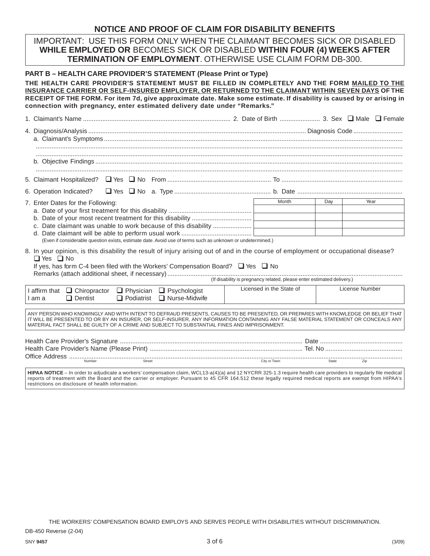# **NOTICE AND PROOF OF CLAIM FOR DISABILITY BENEFITS**

IMPORTANT: USE THIS FORM ONLY WHEN THE CLAIMANT BECOMES SICK OR DISABLED **WHILE EMPLOYED OR** BECOMES SICK OR DISABLED **WITHIN FOUR (4) WEEKS AFTER TERMINATION OF EMPLOYMENT**. OTHERWISE USE CLAIM FORM DB-300.

| <b>PART B – HEALTH CARE PROVIDER'S STATEMENT (Please Print or Type)</b><br>THE HEALTH CARE PROVIDER'S STATEMENT MUST BE FILLED IN COMPLETELY AND THE FORM MAILED TO THE<br>INSURANCE CARRIER OR SELF-INSURED EMPLOYER, OR RETURNED TO THE CLAIMANT WITHIN SEVEN DAYS OF THE<br>RECEIPT OF THE FORM. For item 7d, give approximate date. Make some estimate. If disability is caused by or arising in<br>connection with pregnancy, enter estimated delivery date under "Remarks." |                          |                |  |  |  |  |  |
|-----------------------------------------------------------------------------------------------------------------------------------------------------------------------------------------------------------------------------------------------------------------------------------------------------------------------------------------------------------------------------------------------------------------------------------------------------------------------------------|--------------------------|----------------|--|--|--|--|--|
|                                                                                                                                                                                                                                                                                                                                                                                                                                                                                   |                          |                |  |  |  |  |  |
|                                                                                                                                                                                                                                                                                                                                                                                                                                                                                   |                          |                |  |  |  |  |  |
|                                                                                                                                                                                                                                                                                                                                                                                                                                                                                   |                          |                |  |  |  |  |  |
|                                                                                                                                                                                                                                                                                                                                                                                                                                                                                   |                          |                |  |  |  |  |  |
| 6. Operation Indicated?                                                                                                                                                                                                                                                                                                                                                                                                                                                           |                          |                |  |  |  |  |  |
| 7. Enter Dates for the Following:                                                                                                                                                                                                                                                                                                                                                                                                                                                 | Month                    | Year<br>Day    |  |  |  |  |  |
| (Even if considerable question exists, estimate date. Avoid use of terms such as unknown or undetermined.)                                                                                                                                                                                                                                                                                                                                                                        |                          |                |  |  |  |  |  |
| 8. In your opinion, is this disability the result of injury arising out of and in the course of employment or occupational disease?<br>$\Box$ Yes $\Box$ No<br>If yes, has form C-4 been filed with the Workers' Compensation Board? □ Yes □ No                                                                                                                                                                                                                                   |                          |                |  |  |  |  |  |
| I affirm that □ Chiropractor □ Physician □ Psychologist<br>$\Box$ Dentist<br>$\Box$ Podiatrist $\Box$ Nurse-Midwife<br>I am a                                                                                                                                                                                                                                                                                                                                                     | Licensed in the State of | License Number |  |  |  |  |  |
| ANY PERSON WHO KNOWINGLY AND WITH INTENT TO DEFRAUD PRESENTS, CAUSES TO BE PRESENTED, OR PREPARES WITH KNOWLEDGE OR BELIEF THAT<br>IT WILL BE PRESENTED TO OR BY AN INSURER, OR SELF-INSURER, ANY INFORMATION CONTAINING ANY FALSE MATERIAL STATEMENT OR CONCEALS ANY<br>MATERIAL FACT SHALL BE GUILTY OF A CRIME AND SUBJECT TO SUBSTANTIAL FINES AND IMPRISONMENT.                                                                                                              |                          |                |  |  |  |  |  |
|                                                                                                                                                                                                                                                                                                                                                                                                                                                                                   |                          |                |  |  |  |  |  |
| HIPAA NOTICE - In order to adjudicate a workers' compensation claim, WCL13-a(4)(a) and 12 NYCRR 325-1.3 require health care providers to regularly file medical<br>reports of treatment with the Board and the carrier or employer. Pursuant to 45 CFR 164.512 these legally required medical reports are exempt from HIPAA's<br>restrictions on disclosure of health information.                                                                                                |                          |                |  |  |  |  |  |

THE WORKERS' COMPENSATION BOARD EMPLOYS AND SERVES PEOPLE WITH DISABILITIES WITHOUT DISCRIMINATION.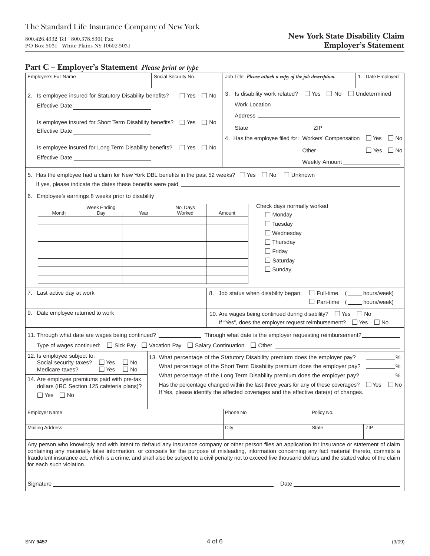## **Part C – Employer's Statement** *Please print or type*

| Employee's Full Name                                                                                                                                                                                                                                                                                                                                                                                                                                                                                    |                                                                                                                                                                                                                                                                                                                    |                                                                                                                                           |  | Social Security No.  |  | Job Title Please attach a copy of the job description. |                                    |                                                                                          |            | 1. Date Employed                                                                                                                                                                                                                                                                                                                                                                                                                        |  |  |
|---------------------------------------------------------------------------------------------------------------------------------------------------------------------------------------------------------------------------------------------------------------------------------------------------------------------------------------------------------------------------------------------------------------------------------------------------------------------------------------------------------|--------------------------------------------------------------------------------------------------------------------------------------------------------------------------------------------------------------------------------------------------------------------------------------------------------------------|-------------------------------------------------------------------------------------------------------------------------------------------|--|----------------------|--|--------------------------------------------------------|------------------------------------|------------------------------------------------------------------------------------------|------------|-----------------------------------------------------------------------------------------------------------------------------------------------------------------------------------------------------------------------------------------------------------------------------------------------------------------------------------------------------------------------------------------------------------------------------------------|--|--|
|                                                                                                                                                                                                                                                                                                                                                                                                                                                                                                         | 2. Is employee insured for Statutory Disability benefits?                                                                                                                                                                                                                                                          |                                                                                                                                           |  | $\Box$ Yes $\Box$ No |  |                                                        |                                    | 3. Is disability work related? $\Box$ Yes $\Box$ No $\Box$ Undetermined<br>Work Location |            |                                                                                                                                                                                                                                                                                                                                                                                                                                         |  |  |
|                                                                                                                                                                                                                                                                                                                                                                                                                                                                                                         | Is employee insured for Short Term Disability benefits? $\Box$ Yes $\Box$ No<br>Effective Date                                                                                                                                                                                                                     |                                                                                                                                           |  |                      |  |                                                        |                                    |                                                                                          |            |                                                                                                                                                                                                                                                                                                                                                                                                                                         |  |  |
|                                                                                                                                                                                                                                                                                                                                                                                                                                                                                                         | Is employee insured for Long Term Disability benefits? $\Box$ Yes $\Box$ No                                                                                                                                                                                                                                        |                                                                                                                                           |  |                      |  |                                                        |                                    |                                                                                          |            | 4. Has the employee filed for: Workers' Compensation $\Box$ Yes $\Box$ No<br>Other $\sqrt{ }$ $\sqrt{ }$ $\sqrt{ }$ $\sqrt{ }$ $\sqrt{ }$ $\sqrt{ }$ $\sqrt{ }$ $\sqrt{ }$ $\sqrt{ }$ $\sqrt{ }$ $\sqrt{ }$ $\sqrt{ }$ $\sqrt{ }$ $\sqrt{ }$ $\sqrt{ }$ $\sqrt{ }$ $\sqrt{ }$ $\sqrt{ }$ $\sqrt{ }$ $\sqrt{ }$ $\sqrt{ }$ $\sqrt{ }$ $\sqrt{ }$ $\sqrt{ }$ $\sqrt{ }$ $\sqrt{ }$ $\sqrt{ }$ $\sqrt{ }$ $\sqrt{ }$ $\sqrt{ }$ $\sqrt{ }$ |  |  |
|                                                                                                                                                                                                                                                                                                                                                                                                                                                                                                         |                                                                                                                                                                                                                                                                                                                    |                                                                                                                                           |  |                      |  |                                                        |                                    |                                                                                          |            |                                                                                                                                                                                                                                                                                                                                                                                                                                         |  |  |
|                                                                                                                                                                                                                                                                                                                                                                                                                                                                                                         | Effective Date ____________________________                                                                                                                                                                                                                                                                        |                                                                                                                                           |  |                      |  |                                                        | Weekly Amount ____________________ |                                                                                          |            |                                                                                                                                                                                                                                                                                                                                                                                                                                         |  |  |
|                                                                                                                                                                                                                                                                                                                                                                                                                                                                                                         | 5. Has the employee had a claim for New York DBL benefits in the past 52 weeks? $\Box$ Yes $\Box$ No $\Box$ Unknown                                                                                                                                                                                                |                                                                                                                                           |  |                      |  |                                                        |                                    |                                                                                          |            |                                                                                                                                                                                                                                                                                                                                                                                                                                         |  |  |
|                                                                                                                                                                                                                                                                                                                                                                                                                                                                                                         |                                                                                                                                                                                                                                                                                                                    | 6. Employee's earnings 8 weeks prior to disability                                                                                        |  |                      |  |                                                        |                                    |                                                                                          |            |                                                                                                                                                                                                                                                                                                                                                                                                                                         |  |  |
|                                                                                                                                                                                                                                                                                                                                                                                                                                                                                                         |                                                                                                                                                                                                                                                                                                                    | Week Ending                                                                                                                               |  | No. Days             |  |                                                        | Check days normally worked         |                                                                                          |            |                                                                                                                                                                                                                                                                                                                                                                                                                                         |  |  |
|                                                                                                                                                                                                                                                                                                                                                                                                                                                                                                         |                                                                                                                                                                                                                                                                                                                    | Month<br>Day<br>Year                                                                                                                      |  | Worked               |  |                                                        | Amount                             | $\Box$ Monday                                                                            |            |                                                                                                                                                                                                                                                                                                                                                                                                                                         |  |  |
|                                                                                                                                                                                                                                                                                                                                                                                                                                                                                                         |                                                                                                                                                                                                                                                                                                                    |                                                                                                                                           |  |                      |  |                                                        |                                    | $\Box$ Tuesday<br>$\Box$ Wednesday<br>$\Box$ Thursday                                    |            |                                                                                                                                                                                                                                                                                                                                                                                                                                         |  |  |
|                                                                                                                                                                                                                                                                                                                                                                                                                                                                                                         |                                                                                                                                                                                                                                                                                                                    |                                                                                                                                           |  |                      |  |                                                        |                                    |                                                                                          |            |                                                                                                                                                                                                                                                                                                                                                                                                                                         |  |  |
|                                                                                                                                                                                                                                                                                                                                                                                                                                                                                                         |                                                                                                                                                                                                                                                                                                                    |                                                                                                                                           |  |                      |  |                                                        |                                    | $\Box$ Friday                                                                            |            |                                                                                                                                                                                                                                                                                                                                                                                                                                         |  |  |
|                                                                                                                                                                                                                                                                                                                                                                                                                                                                                                         |                                                                                                                                                                                                                                                                                                                    |                                                                                                                                           |  |                      |  |                                                        |                                    | $\Box$ Saturday                                                                          |            |                                                                                                                                                                                                                                                                                                                                                                                                                                         |  |  |
|                                                                                                                                                                                                                                                                                                                                                                                                                                                                                                         |                                                                                                                                                                                                                                                                                                                    |                                                                                                                                           |  |                      |  |                                                        |                                    | $\Box$ Sunday                                                                            |            |                                                                                                                                                                                                                                                                                                                                                                                                                                         |  |  |
|                                                                                                                                                                                                                                                                                                                                                                                                                                                                                                         |                                                                                                                                                                                                                                                                                                                    |                                                                                                                                           |  |                      |  |                                                        |                                    |                                                                                          |            |                                                                                                                                                                                                                                                                                                                                                                                                                                         |  |  |
| 7. Last active day at work<br>8. Job status when disability began: $\Box$ Full-time ( $\Box$ hours/week)<br>$\Box$ Part-time $($ hours/week)                                                                                                                                                                                                                                                                                                                                                            |                                                                                                                                                                                                                                                                                                                    |                                                                                                                                           |  |                      |  |                                                        |                                    |                                                                                          |            |                                                                                                                                                                                                                                                                                                                                                                                                                                         |  |  |
| 9. Date employee returned to work<br>10. Are wages being continued during disability? □ Yes □ No<br>If "Yes", does the employer request reimbursement? □ Yes □ No                                                                                                                                                                                                                                                                                                                                       |                                                                                                                                                                                                                                                                                                                    |                                                                                                                                           |  |                      |  |                                                        |                                    |                                                                                          |            |                                                                                                                                                                                                                                                                                                                                                                                                                                         |  |  |
|                                                                                                                                                                                                                                                                                                                                                                                                                                                                                                         |                                                                                                                                                                                                                                                                                                                    | 11. Through what date are wages being continued? ________________ Through what date is the employer requesting reimbursement? ___________ |  |                      |  |                                                        |                                    |                                                                                          |            |                                                                                                                                                                                                                                                                                                                                                                                                                                         |  |  |
|                                                                                                                                                                                                                                                                                                                                                                                                                                                                                                         |                                                                                                                                                                                                                                                                                                                    |                                                                                                                                           |  |                      |  |                                                        |                                    |                                                                                          |            |                                                                                                                                                                                                                                                                                                                                                                                                                                         |  |  |
|                                                                                                                                                                                                                                                                                                                                                                                                                                                                                                         | 12. Is employee subject to:<br>13. What percentage of the Statutory Disability premium does the employer pay?<br>$\sim$ $\%$<br>Social security taxes? □ Yes<br>$\Box$ No<br>$\sim$ %<br>What percentage of the Short Term Disability premium does the employer pay?<br>$\Box$ Yes<br>Medicare taxes?<br>$\Box$ No |                                                                                                                                           |  |                      |  |                                                        |                                    |                                                                                          |            |                                                                                                                                                                                                                                                                                                                                                                                                                                         |  |  |
| What percentage of the Long Term Disability premium does the employer pay?<br>14. Are employee premiums paid with pre-tax<br>Has the percentage changed within the last three years for any of these coverages?<br>dollars (IRC Section 125 cafeteria plans)?<br>If Yes, please identify the affected coverages and the effective date(s) of changes.<br>$\Box$ Yes $\Box$ No                                                                                                                           |                                                                                                                                                                                                                                                                                                                    |                                                                                                                                           |  |                      |  |                                                        |                                    | $\sim$ %<br>$\Box$ Yes $\Box$ No                                                         |            |                                                                                                                                                                                                                                                                                                                                                                                                                                         |  |  |
| <b>Employer Name</b>                                                                                                                                                                                                                                                                                                                                                                                                                                                                                    |                                                                                                                                                                                                                                                                                                                    |                                                                                                                                           |  |                      |  | Phone No.                                              |                                    |                                                                                          | Policy No. |                                                                                                                                                                                                                                                                                                                                                                                                                                         |  |  |
|                                                                                                                                                                                                                                                                                                                                                                                                                                                                                                         |                                                                                                                                                                                                                                                                                                                    |                                                                                                                                           |  |                      |  |                                                        |                                    |                                                                                          |            |                                                                                                                                                                                                                                                                                                                                                                                                                                         |  |  |
| <b>Mailing Address</b>                                                                                                                                                                                                                                                                                                                                                                                                                                                                                  |                                                                                                                                                                                                                                                                                                                    |                                                                                                                                           |  |                      |  | City                                                   |                                    | <b>State</b>                                                                             |            | ZIP                                                                                                                                                                                                                                                                                                                                                                                                                                     |  |  |
| Any person who knowingly and with intent to defraud any insurance company or other person files an application for insurance or statement of claim<br>containing any materially false information, or conceals for the purpose of misleading, information concerning any fact material thereto, commits a<br>fraudulent insurance act, which is a crime, and shall also be subject to a civil penalty not to exceed five thousand dollars and the stated value of the claim<br>for each such violation. |                                                                                                                                                                                                                                                                                                                    |                                                                                                                                           |  |                      |  |                                                        |                                    |                                                                                          |            |                                                                                                                                                                                                                                                                                                                                                                                                                                         |  |  |
|                                                                                                                                                                                                                                                                                                                                                                                                                                                                                                         | Signature                                                                                                                                                                                                                                                                                                          |                                                                                                                                           |  |                      |  |                                                        |                                    | Date                                                                                     |            |                                                                                                                                                                                                                                                                                                                                                                                                                                         |  |  |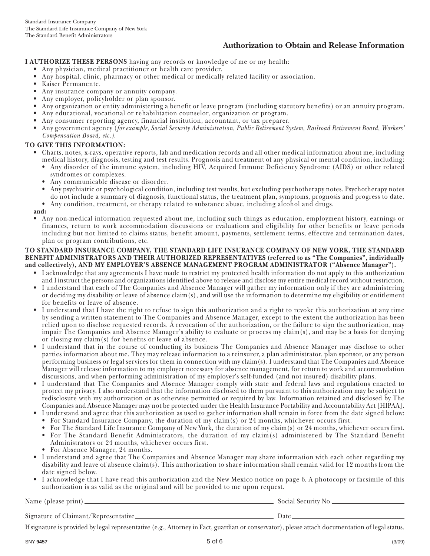**I AUTHORIZE THESE PERSONS** having any records or knowledge of me or my health:

- Any physician, medical practitioner or health care provider.
- Any hospital, clinic, pharmacy or other medical or medically related facility or association.
- Kaiser Permanente.
- Any insurance company or annuity company.
- Any employer, policyholder or plan sponsor.
- Any organization or entity administering a benefit or leave program (including statutory benefits) or an annuity program.
- Any educational, vocational or rehabilitation counselor, organization or program.
- Any consumer reporting agency, financial institution, accountant, or tax preparer.
- Any government agency (*for example, Social Security Administration, Public Retirement System, Railroad Retirement Board, Workers' Compensation Board, etc.).*

#### **TO GIVE THIS INFORMATION:**

- Charts, notes, x-rays, operative reports, lab and medication records and all other medical information about me, including medical history, diagnosis, testing and test results. Prognosis and treatment of any physical or mental condition, including:
	- Any disorder of the immune system, including HIV, Acquired Immune Deficiency Syndrome (AIDS) or other related syndromes or complexes.
	- Any communicable disease or disorder.
	- Any psychiatric or psychological condition, including test results, but excluding psychotherapy notes. Psychotherapy notes do not include a summary of diagnosis, functional status, the treatment plan, symptoms, prognosis and progress to date.
	- Any condition, treatment, or therapy related to substance abuse, including alcohol and drugs.
- **and:**
- Any non-medical information requested about me, including such things as education, employment history, earnings or finances, return to work accommodation discussions or evaluations and eligibility for other benefits or leave periods including but not limited to claims status, benefit amount, payments, settlement terms, effective and termination dates, plan or program contributions, etc.

#### **TO STANDARD INSURANCE COMPANY, THE STANDARD LIFE INSURANCE COMPANY OF NEW YORK, THE STANDARD BENEFIT ADMINISTRATORS AND THEIR AUTHORIZED REPRESENTATIVES (referred to as "The Companies", individually and collectively), AND MY EMPLOYER'S ABSENCE MANAGEMENT PROGRAM ADMINISTRATOR ("Absence Manager").**

- I acknowledge that any agreements I have made to restrict my protected health information do not apply to this authorization and I instruct the persons and organizations identified above to release and disclose my entire medical record without restriction.
- I understand that each of The Companies and Absence Manager will gather my information only if they are administering or deciding my disability or leave of absence claim(s), and will use the information to determine my eligibility or entitlement for benefits or leave of absence.
- I understand that I have the right to refuse to sign this authorization and a right to revoke this authorization at any time by sending a written statement to The Companies and Absence Manager, except to the extent the authorization has been relied upon to disclose requested records. A revocation of the authorization, or the failure to sign the authorization, may impair The Companies and Absence Manager's ability to evaluate or process my claim(s), and may be a basis for denying or closing my claim(s) for benefits or leave of absence.
- I understand that in the course of conducting its business The Companies and Absence Manager may disclose to other parties information about me. They may release information to a reinsurer, a plan administrator, plan sponsor, or any person performing business or legal services for them in connection with my claim(s). I understand that The Companies and Absence Manager will release information to my employer necessary for absence management, for return to work and accommodation discussions, and when performing administration of my employer's self-funded (and not insured) disability plans.
- I understand that The Companies and Absence Manager comply with state and federal laws and regulations enacted to protect my privacy. I also understand that the information disclosed to them pursuant to this authorization may be subject to redisclosure with my authorization or as otherwise permitted or required by law. Information retained and disclosed by The Companies and Absence Manager may not be protected under the Health Insurance Portability and Accountability Act [HIPAA].
	- I understand and agree that this authorization as used to gather information shall remain in force from the date signed below:
	- For Standard Insurance Company, the duration of my claim(s) or 24 months, whichever occurs first.
	- For The Standard Life Insurance Company of New York, the duration of my claim(s) or 24 months, whichever occurs first.
	- For The Standard Benefit Administrators, the duration of my claim(s) administered by The Standard Benefit
- Administrators or 24 months, whichever occurs first. • For Absence Manager, 24 months.
- I understand and agree that The Companies and Absence Manager may share information with each other regarding my disability and leave of absence claim(s). This authorization to share information shall remain valid for 12 months from the date signed below.
- I acknowledge that I have read this authorization and the New Mexico notice on page 6. A photocopy or facsimile of this authorization is as valid as the original and will be provided to me upon request.

Name (please print) Social Security No.

Signature of Claimant/Representative Date

If signature is provided by legal representative (e.g., Attorney in Fact, guardian or conservator), please attach documentation of legal status.